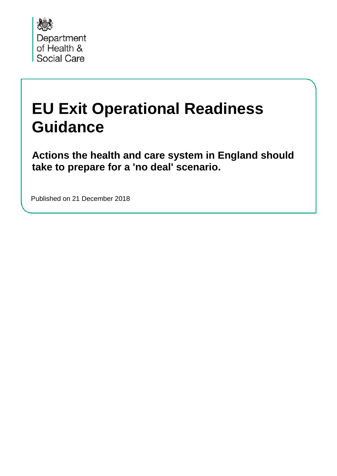

# **EU Exit Operational Readiness Guidance**

**Actions the health and care system in England should take to prepare for a 'no deal' scenario.**

Published on 21 December 2018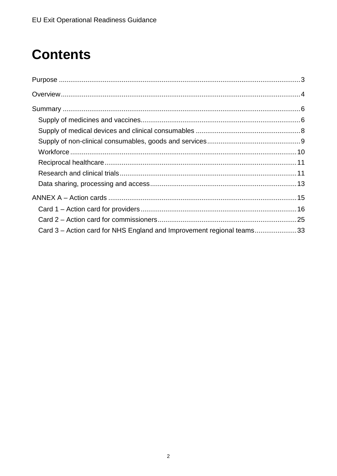# **Contents**

| Card 3 - Action card for NHS England and Improvement regional teams33 |  |
|-----------------------------------------------------------------------|--|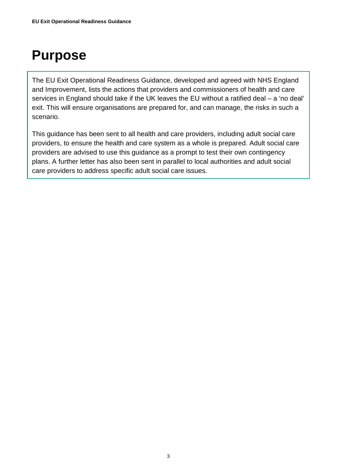# <span id="page-2-0"></span>**Purpose**

The EU Exit Operational Readiness Guidance, developed and agreed with NHS England and Improvement, lists the actions that providers and commissioners of health and care services in England should take if the UK leaves the EU without a ratified deal – a 'no deal' exit. This will ensure organisations are prepared for, and can manage, the risks in such a scenario.

This guidance has been sent to all health and care providers, including adult social care providers, to ensure the health and care system as a whole is prepared. Adult social care providers are advised to use this guidance as a prompt to test their own contingency plans. A further letter has also been sent in parallel to local authorities and adult social care providers to address specific adult social care issues.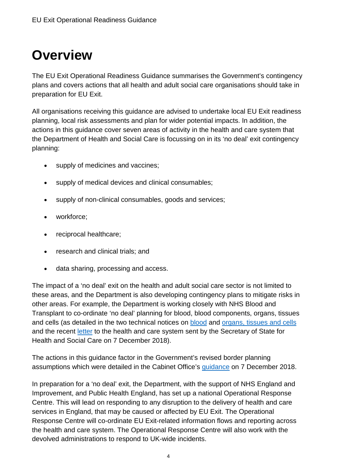# <span id="page-3-0"></span>**Overview**

The EU Exit Operational Readiness Guidance summarises the Government's contingency plans and covers actions that all health and adult social care organisations should take in preparation for EU Exit.

All organisations receiving this guidance are advised to undertake local EU Exit readiness planning, local risk assessments and plan for wider potential impacts. In addition, the actions in this guidance cover seven areas of activity in the health and care system that the Department of Health and Social Care is focussing on in its 'no deal' exit contingency planning:

- supply of medicines and vaccines;
- supply of medical devices and clinical consumables;
- supply of non-clinical consumables, goods and services;
- workforce;
- reciprocal healthcare;
- research and clinical trials; and
- data sharing, processing and access.

The impact of a 'no deal' exit on the health and adult social care sector is not limited to these areas, and the Department is also developing contingency plans to mitigate risks in other areas. For example, the Department is working closely with NHS Blood and Transplant to co-ordinate 'no deal' planning for blood, blood components, organs, tissues and cells (as detailed in the two technical notices on [blood](https://www.gov.uk/government/publications/ensuring-blood-and-blood-products-are-safe-if-theres-no-brexit-deal) and [organs, tissues and cells](https://www.gov.uk/government/publications/quality-and-safety-of-organs-tissues-and-cells-if-theres-no-brexit-deal) and the recent [letter](https://assets.publishing.service.gov.uk/government/uploads/system/uploads/attachment_data/file/762696/government_preparations_update_for_march_2019.pdf) to the health and care system sent by the Secretary of State for Health and Social Care on 7 December 2018).

The actions in this guidance factor in the Government's revised border planning assumptions which were detailed in the Cabinet Office's [guidance](https://www.gov.uk/guidance/border-planning-assumptions-in-the-event-of-a-no-deal-brexit) on 7 December 2018.

In preparation for a 'no deal' exit, the Department, with the support of NHS England and Improvement, and Public Health England, has set up a national Operational Response Centre. This will lead on responding to any disruption to the delivery of health and care services in England, that may be caused or affected by EU Exit. The Operational Response Centre will co-ordinate EU Exit-related information flows and reporting across the health and care system. The Operational Response Centre will also work with the devolved administrations to respond to UK-wide incidents.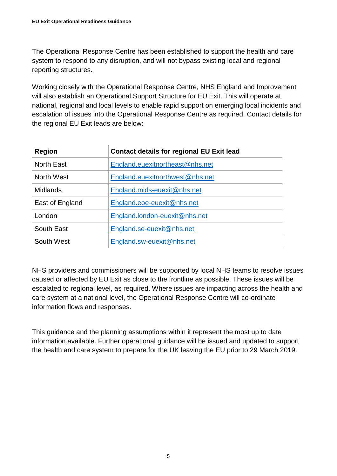The Operational Response Centre has been established to support the health and care system to respond to any disruption, and will not bypass existing local and regional reporting structures.

Working closely with the Operational Response Centre, NHS England and Improvement will also establish an Operational Support Structure for EU Exit. This will operate at national, regional and local levels to enable rapid support on emerging local incidents and escalation of issues into the Operational Response Centre as required. Contact details for the regional EU Exit leads are below:

| <b>Region</b>     | <b>Contact details for regional EU Exit lead</b> |
|-------------------|--------------------------------------------------|
| <b>North East</b> | England.euexitnortheast@nhs.net                  |
| North West        | England.euexitnorthwest@nhs.net                  |
| Midlands          | England.mids-euexit@nhs.net                      |
| East of England   | England.eoe-euexit@nhs.net                       |
| London            | England.london-euexit@nhs.net                    |
| South East        | England.se-euexit@nhs.net                        |
| South West        | England.sw-euexit@nhs.net                        |

NHS providers and commissioners will be supported by local NHS teams to resolve issues caused or affected by EU Exit as close to the frontline as possible. These issues will be escalated to regional level, as required. Where issues are impacting across the health and care system at a national level, the Operational Response Centre will co-ordinate information flows and responses.

This guidance and the planning assumptions within it represent the most up to date information available. Further operational guidance will be issued and updated to support the health and care system to prepare for the UK leaving the EU prior to 29 March 2019.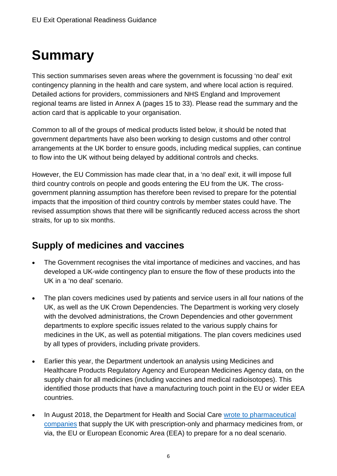# <span id="page-5-0"></span>**Summary**

This section summarises seven areas where the government is focussing 'no deal' exit contingency planning in the health and care system, and where local action is required. Detailed actions for providers, commissioners and NHS England and Improvement regional teams are listed in Annex A (pages 15 to 33). Please read the summary and the action card that is applicable to your organisation.

Common to all of the groups of medical products listed below, it should be noted that government departments have also been working to design customs and other control arrangements at the UK border to ensure goods, including medical supplies, can continue to flow into the UK without being delayed by additional controls and checks.

However, the EU Commission has made clear that, in a 'no deal' exit, it will impose full third country controls on people and goods entering the EU from the UK. The crossgovernment planning assumption has therefore been revised to prepare for the potential impacts that the imposition of third country controls by member states could have. The revised assumption shows that there will be significantly reduced access across the short straits, for up to six months.

## <span id="page-5-1"></span>**Supply of medicines and vaccines**

- The Government recognises the vital importance of medicines and vaccines, and has developed a UK-wide contingency plan to ensure the flow of these products into the UK in a 'no deal' scenario.
- The plan covers medicines used by patients and service users in all four nations of the UK, as well as the UK Crown Dependencies. The Department is working very closely with the devolved administrations, the Crown Dependencies and other government departments to explore specific issues related to the various supply chains for medicines in the UK, as well as potential mitigations. The plan covers medicines used by all types of providers, including private providers.
- Earlier this year, the Department undertook an analysis using Medicines and Healthcare Products Regulatory Agency and European Medicines Agency data, on the supply chain for all medicines (including vaccines and medical radioisotopes). This identified those products that have a manufacturing touch point in the EU or wider EEA countries.
- In August 2018, the Department for Health and Social Care [wrote to pharmaceutical](https://assets.publishing.service.gov.uk/government/uploads/system/uploads/attachment_data/file/735745/brexit-medicines-letter.pdf)  [companies](https://assets.publishing.service.gov.uk/government/uploads/system/uploads/attachment_data/file/735745/brexit-medicines-letter.pdf) that supply the UK with prescription-only and pharmacy medicines from, or via, the EU or European Economic Area (EEA) to prepare for a no deal scenario.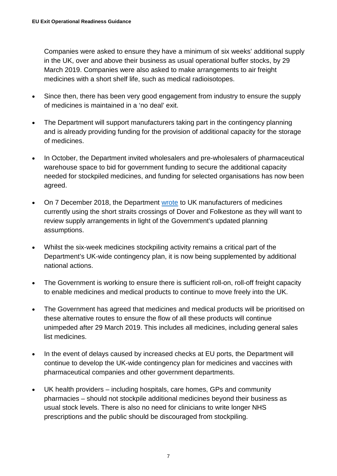Companies were asked to ensure they have a minimum of six weeks' additional supply in the UK, over and above their business as usual operational buffer stocks, by 29 March 2019. Companies were also asked to make arrangements to air freight medicines with a short shelf life, such as medical radioisotopes.

- Since then, there has been very good engagement from industry to ensure the supply of medicines is maintained in a 'no deal' exit.
- The Department will support manufacturers taking part in the contingency planning and is already providing funding for the provision of additional capacity for the storage of medicines.
- In October, the Department invited wholesalers and pre-wholesalers of pharmaceutical warehouse space to bid for government funding to secure the additional capacity needed for stockpiled medicines, and funding for selected organisations has now been agreed.
- On 7 December 2018, the Department wrote to UK manufacturers of medicines currently using the short straits crossings of Dover and Folkestone as they will want to review supply arrangements in light of the Government's updated planning assumptions.
- Whilst the six-week medicines stockpiling activity remains a critical part of the Department's UK-wide contingency plan, it is now being supplemented by additional national actions.
- The Government is working to ensure there is sufficient roll-on, roll-off freight capacity to enable medicines and medical products to continue to move freely into the UK.
- The Government has agreed that medicines and medical products will be prioritised on these alternative routes to ensure the flow of all these products will continue unimpeded after 29 March 2019. This includes all medicines, including general sales list medicines.
- In the event of delays caused by increased checks at EU ports, the Department will continue to develop the UK-wide contingency plan for medicines and vaccines with pharmaceutical companies and other government departments.
- UK health providers including hospitals, care homes, GPs and community pharmacies – should not stockpile additional medicines beyond their business as usual stock levels. There is also no need for clinicians to write longer NHS prescriptions and the public should be discouraged from stockpiling.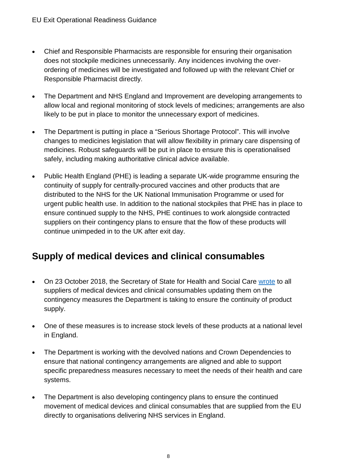- Chief and Responsible Pharmacists are responsible for ensuring their organisation does not stockpile medicines unnecessarily. Any incidences involving the overordering of medicines will be investigated and followed up with the relevant Chief or Responsible Pharmacist directly.
- The Department and NHS England and Improvement are developing arrangements to allow local and regional monitoring of stock levels of medicines; arrangements are also likely to be put in place to monitor the unnecessary export of medicines.
- The Department is putting in place a "Serious Shortage Protocol". This will involve changes to medicines legislation that will allow flexibility in primary care dispensing of medicines. Robust safeguards will be put in place to ensure this is operationalised safely, including making authoritative clinical advice available.
- Public Health England (PHE) is leading a separate UK-wide programme ensuring the continuity of supply for centrally-procured vaccines and other products that are distributed to the NHS for the UK National Immunisation Programme or used for urgent public health use. In addition to the national stockpiles that PHE has in place to ensure continued supply to the NHS, PHE continues to work alongside contracted suppliers on their contingency plans to ensure that the flow of these products will continue unimpeded in to the UK after exit day.

# <span id="page-7-0"></span>**Supply of medical devices and clinical consumables**

- On 23 October 2018, the Secretary of State for Health and Social Care [wrote](https://assets.publishing.service.gov.uk/government/uploads/system/uploads/attachment_data/file/750522/SofS_letter_-_Medical_Devices_and_Clinical_Consumables.pdf) to all suppliers of medical devices and clinical consumables updating them on the contingency measures the Department is taking to ensure the continuity of product supply.
- One of these measures is to increase stock levels of these products at a national level in England.
- The Department is working with the devolved nations and Crown Dependencies to ensure that national contingency arrangements are aligned and able to support specific preparedness measures necessary to meet the needs of their health and care systems.
- The Department is also developing contingency plans to ensure the continued movement of medical devices and clinical consumables that are supplied from the EU directly to organisations delivering NHS services in England.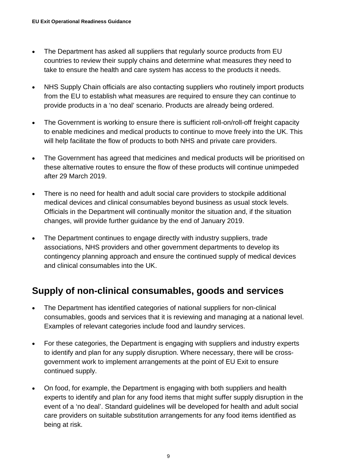- The Department has asked all suppliers that regularly source products from EU countries to review their supply chains and determine what measures they need to take to ensure the health and care system has access to the products it needs.
- NHS Supply Chain officials are also contacting suppliers who routinely import products from the EU to establish what measures are required to ensure they can continue to provide products in a 'no deal' scenario. Products are already being ordered.
- The Government is working to ensure there is sufficient roll-on/roll-off freight capacity to enable medicines and medical products to continue to move freely into the UK. This will help facilitate the flow of products to both NHS and private care providers.
- The Government has agreed that medicines and medical products will be prioritised on these alternative routes to ensure the flow of these products will continue unimpeded after 29 March 2019.
- There is no need for health and adult social care providers to stockpile additional medical devices and clinical consumables beyond business as usual stock levels. Officials in the Department will continually monitor the situation and, if the situation changes, will provide further guidance by the end of January 2019.
- The Department continues to engage directly with industry suppliers, trade associations, NHS providers and other government departments to develop its contingency planning approach and ensure the continued supply of medical devices and clinical consumables into the UK.

## <span id="page-8-0"></span>**Supply of non-clinical consumables, goods and services**

- The Department has identified categories of national suppliers for non-clinical consumables, goods and services that it is reviewing and managing at a national level. Examples of relevant categories include food and laundry services.
- For these categories, the Department is engaging with suppliers and industry experts to identify and plan for any supply disruption. Where necessary, there will be crossgovernment work to implement arrangements at the point of EU Exit to ensure continued supply.
- On food, for example, the Department is engaging with both suppliers and health experts to identify and plan for any food items that might suffer supply disruption in the event of a 'no deal'. Standard guidelines will be developed for health and adult social care providers on suitable substitution arrangements for any food items identified as being at risk.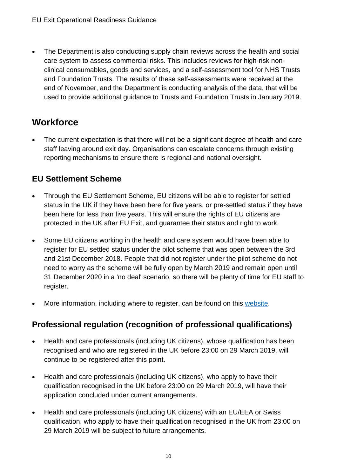• The Department is also conducting supply chain reviews across the health and social care system to assess commercial risks. This includes reviews for high-risk nonclinical consumables, goods and services, and a self-assessment tool for NHS Trusts and Foundation Trusts. The results of these self-assessments were received at the end of November, and the Department is conducting analysis of the data, that will be used to provide additional guidance to Trusts and Foundation Trusts in January 2019.

# <span id="page-9-0"></span>**Workforce**

• The current expectation is that there will not be a significant degree of health and care staff leaving around exit day. Organisations can escalate concerns through existing reporting mechanisms to ensure there is regional and national oversight.

## **EU Settlement Scheme**

- Through the EU Settlement Scheme, EU citizens will be able to register for settled status in the UK if they have been here for five years, or pre-settled status if they have been here for less than five years. This will ensure the rights of EU citizens are protected in the UK after EU Exit, and guarantee their status and right to work.
- Some EU citizens working in the health and care system would have been able to register for EU settled status under the pilot scheme that was open between the 3rd and 21st December 2018. People that did not register under the pilot scheme do not need to worry as the scheme will be fully open by March 2019 and remain open until 31 December 2020 in a 'no deal' scenario, so there will be plenty of time for EU staff to register.
- More information, including where to register, can be found on this [website.](https://www.gov.uk/settled-status-eu-citizens-families)

## **Professional regulation (recognition of professional qualifications)**

- Health and care professionals (including UK citizens), whose qualification has been recognised and who are registered in the UK before 23:00 on 29 March 2019, will continue to be registered after this point.
- Health and care professionals (including UK citizens), who apply to have their qualification recognised in the UK before 23:00 on 29 March 2019, will have their application concluded under current arrangements.
- Health and care professionals (including UK citizens) with an EU/EEA or Swiss qualification, who apply to have their qualification recognised in the UK from 23:00 on 29 March 2019 will be subject to future arrangements.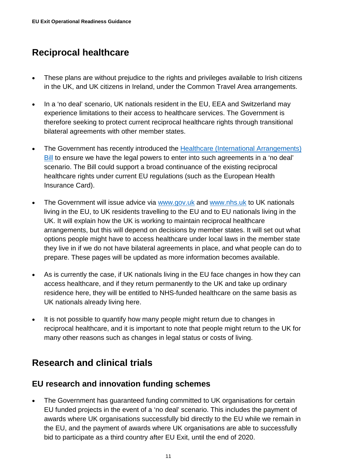# <span id="page-10-0"></span>**Reciprocal healthcare**

- These plans are without prejudice to the rights and privileges available to Irish citizens in the UK, and UK citizens in Ireland, under the Common Travel Area arrangements.
- In a 'no deal' scenario, UK nationals resident in the EU, EEA and Switzerland may experience limitations to their access to healthcare services. The Government is therefore seeking to protect current reciprocal healthcare rights through transitional bilateral agreements with other member states.
- The Government has recently introduced the Healthcare (International Arrangements) [Bill](https://services.parliament.uk/bills/2017-19/healthcareinternationalarrangements.html) to ensure we have the legal powers to enter into such agreements in a 'no deal' scenario. The Bill could support a broad continuance of the existing reciprocal healthcare rights under current EU regulations (such as the European Health Insurance Card).
- The Government will issue advice via [www.gov.uk](http://www.gov.uk/) and [www.nhs.uk](http://www.nhs.uk/) to UK nationals living in the EU, to UK residents travelling to the EU and to EU nationals living in the UK. It will explain how the UK is working to maintain reciprocal healthcare arrangements, but this will depend on decisions by member states. It will set out what options people might have to access healthcare under local laws in the member state they live in if we do not have bilateral agreements in place, and what people can do to prepare. These pages will be updated as more information becomes available.
- As is currently the case, if UK nationals living in the EU face changes in how they can access healthcare, and if they return permanently to the UK and take up ordinary residence here, they will be entitled to NHS-funded healthcare on the same basis as UK nationals already living here.
- It is not possible to quantify how many people might return due to changes in reciprocal healthcare, and it is important to note that people might return to the UK for many other reasons such as changes in legal status or costs of living.

## <span id="page-10-1"></span>**Research and clinical trials**

### **EU research and innovation funding schemes**

The Government has guaranteed funding committed to UK organisations for certain EU funded projects in the event of a 'no deal' scenario. This includes the payment of awards where UK organisations successfully bid directly to the EU while we remain in the EU, and the payment of awards where UK organisations are able to successfully bid to participate as a third country after EU Exit, until the end of 2020.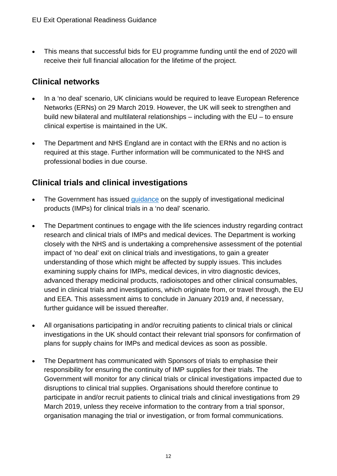• This means that successful bids for EU programme funding until the end of 2020 will receive their full financial allocation for the lifetime of the project.

## **Clinical networks**

- In a 'no deal' scenario, UK clinicians would be required to leave European Reference Networks (ERNs) on 29 March 2019. However, the UK will seek to strengthen and build new bilateral and multilateral relationships – including with the EU – to ensure clinical expertise is maintained in the UK.
- The Department and NHS England are in contact with the ERNs and no action is required at this stage. Further information will be communicated to the NHS and professional bodies in due course.

## **Clinical trials and clinical investigations**

- The Government has issued *guidance* on the supply of investigational medicinal products (IMPs) for clinical trials in a 'no deal' scenario.
- The Department continues to engage with the life sciences industry regarding contract research and clinical trials of IMPs and medical devices. The Department is working closely with the NHS and is undertaking a comprehensive assessment of the potential impact of 'no deal' exit on clinical trials and investigations, to gain a greater understanding of those which might be affected by supply issues. This includes examining supply chains for IMPs, medical devices, in vitro diagnostic devices, advanced therapy medicinal products, radioisotopes and other clinical consumables, used in clinical trials and investigations, which originate from, or travel through, the EU and EEA. This assessment aims to conclude in January 2019 and, if necessary, further guidance will be issued thereafter.
- All organisations participating in and/or recruiting patients to clinical trials or clinical investigations in the UK should contact their relevant trial sponsors for confirmation of plans for supply chains for IMPs and medical devices as soon as possible.
- The Department has communicated with Sponsors of trials to emphasise their responsibility for ensuring the continuity of IMP supplies for their trials. The Government will monitor for any clinical trials or clinical investigations impacted due to disruptions to clinical trial supplies. Organisations should therefore continue to participate in and/or recruit patients to clinical trials and clinical investigations from 29 March 2019, unless they receive information to the contrary from a trial sponsor, organisation managing the trial or investigation, or from formal communications.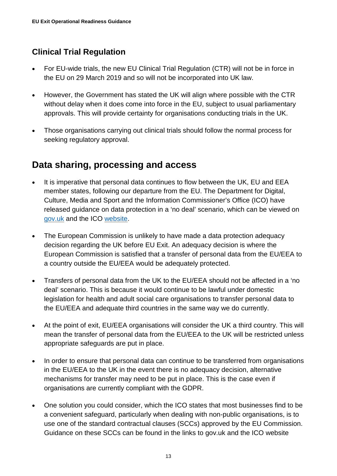## **Clinical Trial Regulation**

- For EU-wide trials, the new EU Clinical Trial Regulation (CTR) will not be in force in the EU on 29 March 2019 and so will not be incorporated into UK law.
- However, the Government has stated the UK will align where possible with the CTR without delay when it does come into force in the EU, subject to usual parliamentary approvals. This will provide certainty for organisations conducting trials in the UK.
- Those organisations carrying out clinical trials should follow the normal process for seeking regulatory approval.

## <span id="page-12-0"></span>**Data sharing, processing and access**

- It is imperative that personal data continues to flow between the UK, EU and EEA member states, following our departure from the EU. The Department for Digital, Culture, Media and Sport and the Information Commissioner's Office (ICO) have released guidance on data protection in a 'no deal' scenario, which can be viewed on [gov.uk](https://www.gov.uk/government/publications/data-protection-eu-exit-guidance/leaving-the-eu-without-a-deal-6-steps-to-take) and the ICO [website.](https://ico.org.uk/for-organisations/data-protection-and-brexit/data-protection-if-there-s-no-brexit-deal/)
- The European Commission is unlikely to have made a data protection adequacy decision regarding the UK before EU Exit. An adequacy decision is where the European Commission is satisfied that a transfer of personal data from the EU/EEA to a country outside the EU/EEA would be adequately protected.
- Transfers of personal data from the UK to the EU/EEA should not be affected in a 'no deal' scenario. This is because it would continue to be lawful under domestic legislation for health and adult social care organisations to transfer personal data to the EU/EEA and adequate third countries in the same way we do currently.
- At the point of exit, EU/EEA organisations will consider the UK a third country. This will mean the transfer of personal data from the EU/EEA to the UK will be restricted unless appropriate safeguards are put in place.
- In order to ensure that personal data can continue to be transferred from organisations in the EU/EEA to the UK in the event there is no adequacy decision, alternative mechanisms for transfer may need to be put in place. This is the case even if organisations are currently compliant with the GDPR.
- One solution you could consider, which the ICO states that most businesses find to be a convenient safeguard, particularly when dealing with non-public organisations, is to use one of the standard contractual clauses (SCCs) approved by the EU Commission. Guidance on these SCCs can be found in the links to gov.uk and the ICO website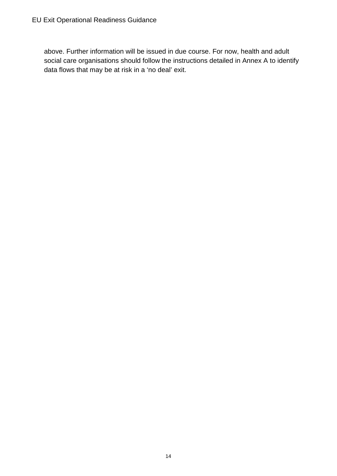above. Further information will be issued in due course. For now, health and adult social care organisations should follow the instructions detailed in Annex A to identify data flows that may be at risk in a 'no deal' exit.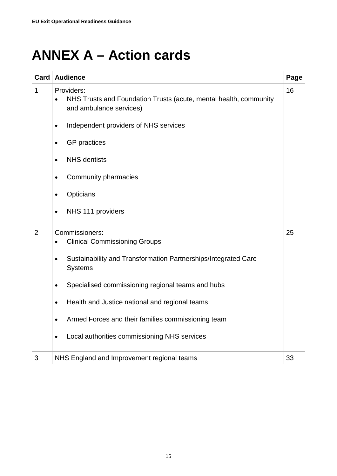# <span id="page-14-0"></span>**ANNEX A – Action cards**

|             | Card Audience                                                                                                                                                                                                                                                                                                                                                                                                                         | Page |
|-------------|---------------------------------------------------------------------------------------------------------------------------------------------------------------------------------------------------------------------------------------------------------------------------------------------------------------------------------------------------------------------------------------------------------------------------------------|------|
| $\mathbf 1$ | Providers:<br>NHS Trusts and Foundation Trusts (acute, mental health, community<br>and ambulance services)<br>Independent providers of NHS services<br>$\bullet$<br><b>GP</b> practices<br>$\bullet$<br><b>NHS</b> dentists<br>$\bullet$<br>Community pharmacies<br>$\bullet$<br>Opticians<br>$\bullet$<br>NHS 111 providers<br>$\bullet$                                                                                             | 16   |
| 2           | Commissioners:<br><b>Clinical Commissioning Groups</b><br>$\bullet$<br>Sustainability and Transformation Partnerships/Integrated Care<br>$\bullet$<br><b>Systems</b><br>Specialised commissioning regional teams and hubs<br>$\bullet$<br>Health and Justice national and regional teams<br>$\bullet$<br>Armed Forces and their families commissioning team<br>$\bullet$<br>Local authorities commissioning NHS services<br>$\bullet$ | 25   |
| 3           | NHS England and Improvement regional teams                                                                                                                                                                                                                                                                                                                                                                                            | 33   |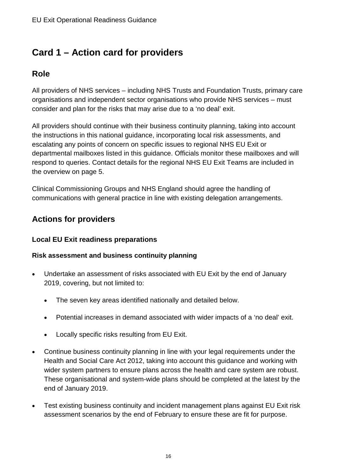# <span id="page-15-0"></span>**Card 1 – Action card for providers**

### **Role**

All providers of NHS services – including NHS Trusts and Foundation Trusts, primary care organisations and independent sector organisations who provide NHS services – must consider and plan for the risks that may arise due to a 'no deal' exit.

All providers should continue with their business continuity planning, taking into account the instructions in this national guidance, incorporating local risk assessments, and escalating any points of concern on specific issues to regional NHS EU Exit or departmental mailboxes listed in this guidance. Officials monitor these mailboxes and will respond to queries. Contact details for the regional NHS EU Exit Teams are included in the overview on page 5.

Clinical Commissioning Groups and NHS England should agree the handling of communications with general practice in line with existing delegation arrangements.

### **Actions for providers**

#### **Local EU Exit readiness preparations**

#### **Risk assessment and business continuity planning**

- Undertake an assessment of risks associated with EU Exit by the end of January 2019, covering, but not limited to:
	- The seven key areas identified nationally and detailed below.
	- Potential increases in demand associated with wider impacts of a 'no deal' exit.
	- Locally specific risks resulting from EU Exit.
- Continue business continuity planning in line with your legal requirements under the Health and Social Care Act 2012, taking into account this guidance and working with wider system partners to ensure plans across the health and care system are robust. These organisational and system-wide plans should be completed at the latest by the end of January 2019.
- Test existing business continuity and incident management plans against EU Exit risk assessment scenarios by the end of February to ensure these are fit for purpose.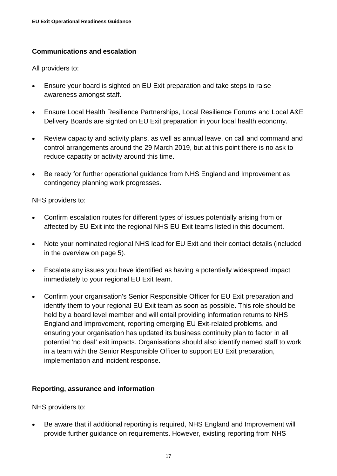#### **Communications and escalation**

All providers to:

- Ensure your board is sighted on EU Exit preparation and take steps to raise awareness amongst staff.
- Ensure Local Health Resilience Partnerships, Local Resilience Forums and Local A&E Delivery Boards are sighted on EU Exit preparation in your local health economy.
- Review capacity and activity plans, as well as annual leave, on call and command and control arrangements around the 29 March 2019, but at this point there is no ask to reduce capacity or activity around this time.
- Be ready for further operational guidance from NHS England and Improvement as contingency planning work progresses.

#### NHS providers to:

- Confirm escalation routes for different types of issues potentially arising from or affected by EU Exit into the regional NHS EU Exit teams listed in this document.
- Note your nominated regional NHS lead for EU Exit and their contact details (included in the overview on page 5).
- Escalate any issues you have identified as having a potentially widespread impact immediately to your regional EU Exit team.
- Confirm your organisation's Senior Responsible Officer for EU Exit preparation and identify them to your regional EU Exit team as soon as possible. This role should be held by a board level member and will entail providing information returns to NHS England and Improvement, reporting emerging EU Exit-related problems, and ensuring your organisation has updated its business continuity plan to factor in all potential 'no deal' exit impacts. Organisations should also identify named staff to work in a team with the Senior Responsible Officer to support EU Exit preparation, implementation and incident response.

#### **Reporting, assurance and information**

NHS providers to:

• Be aware that if additional reporting is required, NHS England and Improvement will provide further guidance on requirements. However, existing reporting from NHS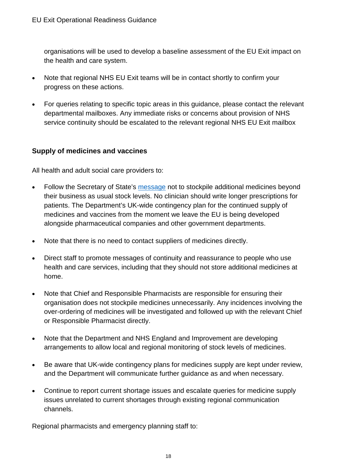organisations will be used to develop a baseline assessment of the EU Exit impact on the health and care system.

- Note that regional NHS EU Exit teams will be in contact shortly to confirm your progress on these actions.
- For queries relating to specific topic areas in this guidance, please contact the relevant departmental mailboxes. Any immediate risks or concerns about provision of NHS service continuity should be escalated to the relevant regional NHS EU Exit mailbox

#### **Supply of medicines and vaccines**

All health and adult social care providers to:

- Follow the Secretary of State's [message](https://assets.publishing.service.gov.uk/government/uploads/system/uploads/attachment_data/file/735742/Govt_preparations_for_potential_no_deal_-_letter_to_health_and_care_sector.pdf) not to stockpile additional medicines beyond their business as usual stock levels. No clinician should write longer prescriptions for patients. The Department's UK-wide contingency plan for the continued supply of medicines and vaccines from the moment we leave the EU is being developed alongside pharmaceutical companies and other government departments.
- Note that there is no need to contact suppliers of medicines directly.
- Direct staff to promote messages of continuity and reassurance to people who use health and care services, including that they should not store additional medicines at home.
- Note that Chief and Responsible Pharmacists are responsible for ensuring their organisation does not stockpile medicines unnecessarily. Any incidences involving the over-ordering of medicines will be investigated and followed up with the relevant Chief or Responsible Pharmacist directly.
- Note that the Department and NHS England and Improvement are developing arrangements to allow local and regional monitoring of stock levels of medicines.
- Be aware that UK-wide contingency plans for medicines supply are kept under review, and the Department will communicate further guidance as and when necessary.
- Continue to report current shortage issues and escalate queries for medicine supply issues unrelated to current shortages through existing regional communication channels.

Regional pharmacists and emergency planning staff to: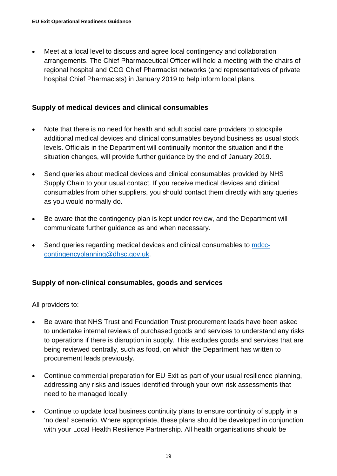• Meet at a local level to discuss and agree local contingency and collaboration arrangements. The Chief Pharmaceutical Officer will hold a meeting with the chairs of regional hospital and CCG Chief Pharmacist networks (and representatives of private hospital Chief Pharmacists) in January 2019 to help inform local plans.

#### **Supply of medical devices and clinical consumables**

- Note that there is no need for health and adult social care providers to stockpile additional medical devices and clinical consumables beyond business as usual stock levels. Officials in the Department will continually monitor the situation and if the situation changes, will provide further guidance by the end of January 2019.
- Send queries about medical devices and clinical consumables provided by NHS Supply Chain to your usual contact. If you receive medical devices and clinical consumables from other suppliers, you should contact them directly with any queries as you would normally do.
- Be aware that the contingency plan is kept under review, and the Department will communicate further guidance as and when necessary.
- Send queries regarding medical devices and clinical consumables to [mdcc](mailto:mdcc-contingencyplanning@dhsc.gov.uk)[contingencyplanning@dhsc.gov.uk.](mailto:mdcc-contingencyplanning@dhsc.gov.uk)

#### **Supply of non-clinical consumables, goods and services**

All providers to:

- Be aware that NHS Trust and Foundation Trust procurement leads have been asked to undertake internal reviews of purchased goods and services to understand any risks to operations if there is disruption in supply. This excludes goods and services that are being reviewed centrally, such as food, on which the Department has written to procurement leads previously.
- Continue commercial preparation for EU Exit as part of your usual resilience planning, addressing any risks and issues identified through your own risk assessments that need to be managed locally.
- Continue to update local business continuity plans to ensure continuity of supply in a 'no deal' scenario. Where appropriate, these plans should be developed in conjunction with your Local Health Resilience Partnership. All health organisations should be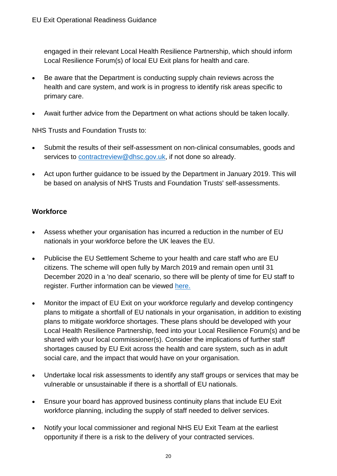engaged in their relevant Local Health Resilience Partnership, which should inform Local Resilience Forum(s) of local EU Exit plans for health and care.

- Be aware that the Department is conducting supply chain reviews across the health and care system, and work is in progress to identify risk areas specific to primary care.
- Await further advice from the Department on what actions should be taken locally.

NHS Trusts and Foundation Trusts to:

- Submit the results of their self-assessment on non-clinical consumables, goods and services to [contractreview@dhsc.gov.uk,](mailto:contractreview@dhsc.gov.uk) if not done so already.
- Act upon further guidance to be issued by the Department in January 2019. This will be based on analysis of NHS Trusts and Foundation Trusts' self-assessments.

#### **Workforce**

- Assess whether your organisation has incurred a reduction in the number of EU nationals in your workforce before the UK leaves the EU.
- Publicise the EU Settlement Scheme to your health and care staff who are EU citizens. The scheme will open fully by March 2019 and remain open until 31 December 2020 in a 'no deal' scenario, so there will be plenty of time for EU staff to register. Further information can be viewed [here.](https://www.gov.uk/settled-status-eu-citizens-families/applying-for-settled-status)
- Monitor the impact of EU Exit on your workforce regularly and develop contingency plans to mitigate a shortfall of EU nationals in your organisation, in addition to existing plans to mitigate workforce shortages. These plans should be developed with your Local Health Resilience Partnership, feed into your Local Resilience Forum(s) and be shared with your local commissioner(s). Consider the implications of further staff shortages caused by EU Exit across the health and care system, such as in adult social care, and the impact that would have on your organisation.
- Undertake local risk assessments to identify any staff groups or services that may be vulnerable or unsustainable if there is a shortfall of EU nationals.
- Ensure your board has approved business continuity plans that include EU Exit workforce planning, including the supply of staff needed to deliver services.
- Notify your local commissioner and regional NHS EU Exit Team at the earliest opportunity if there is a risk to the delivery of your contracted services.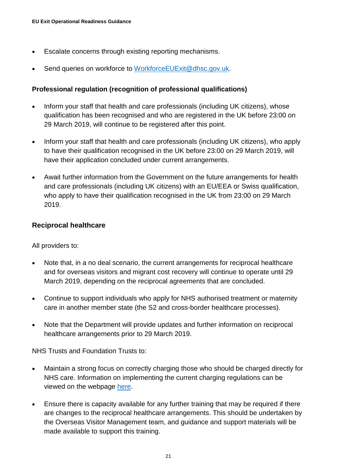- Escalate concerns through existing reporting mechanisms.
- Send queries on workforce to [WorkforceEUExit@dhsc.gov.uk.](mailto:WorkforceEUExit@dhsc.gov.uk)

#### **Professional regulation (recognition of professional qualifications)**

- Inform your staff that health and care professionals (including UK citizens), whose qualification has been recognised and who are registered in the UK before 23:00 on 29 March 2019, will continue to be registered after this point.
- Inform your staff that health and care professionals (including UK citizens), who apply to have their qualification recognised in the UK before 23:00 on 29 March 2019, will have their application concluded under current arrangements.
- Await further information from the Government on the future arrangements for health and care professionals (including UK citizens) with an EU/EEA or Swiss qualification, who apply to have their qualification recognised in the UK from 23:00 on 29 March 2019.

#### **Reciprocal healthcare**

All providers to:

- Note that, in a no deal scenario, the current arrangements for reciprocal healthcare and for overseas visitors and migrant cost recovery will continue to operate until 29 March 2019, depending on the reciprocal agreements that are concluded.
- Continue to support individuals who apply for NHS authorised treatment or maternity care in another member state (the S2 and cross-border healthcare processes).
- Note that the Department will provide updates and further information on reciprocal healthcare arrangements prior to 29 March 2019.

NHS Trusts and Foundation Trusts to:

- Maintain a strong focus on correctly charging those who should be charged directly for NHS care. Information on implementing the current charging regulations can be viewed on the webpage [here.](https://www.gov.uk/government/publications/overseas-nhs-visitors-implementing-the-charging-regulations)
- Ensure there is capacity available for any further training that may be required if there are changes to the reciprocal healthcare arrangements. This should be undertaken by the Overseas Visitor Management team, and guidance and support materials will be made available to support this training.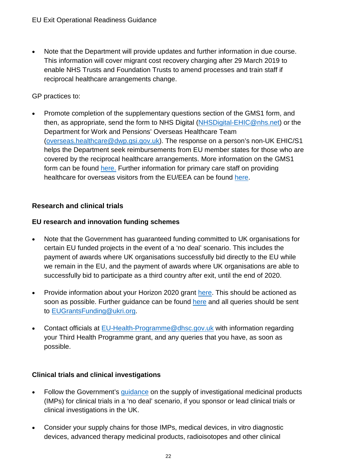• Note that the Department will provide updates and further information in due course. This information will cover migrant cost recovery charging after 29 March 2019 to enable NHS Trusts and Foundation Trusts to amend processes and train staff if reciprocal healthcare arrangements change.

#### GP practices to:

• Promote completion of the supplementary questions section of the GMS1 form, and then, as appropriate, send the form to NHS Digital [\(NHSDigital-EHIC@nhs.net\)](mailto:NHSDigital-EHIC@nhs.net) or the Department for Work and Pensions' Overseas Healthcare Team [\(overseas.healthcare@dwp.gsi.gov.uk\)](mailto:overseas.healthcare@dwp.gsi.gov.uk). The response on a person's non-UK EHIC/S1 helps the Department seek reimbursements from EU member states for those who are covered by the reciprocal healthcare arrangements. More information on the GMS1 form can be found [here.](https://pcse.england.nhs.uk/media/1248/17-18-ct136_01-the-new-gms1-form-oct-2017-guidance-final.pdf) Further information for primary care staff on providing healthcare for overseas visitors from the EU/EEA can be found [here.](https://www.gov.uk/government/publications/providing-healthcare-for-overseas-visitors-from-the-eea-information-for-primary-care-staff)

#### **Research and clinical trials**

#### **EU research and innovation funding schemes**

- Note that the Government has guaranteed funding committed to UK organisations for certain EU funded projects in the event of a 'no deal' scenario. This includes the payment of awards where UK organisations successfully bid directly to the EU while we remain in the EU, and the payment of awards where UK organisations are able to successfully bid to participate as a third country after exit, until the end of 2020.
- Provide information about your Horizon 2020 grant [here.](https://apply-for-innovation-funding.service.gov.uk/eu-grant/overview) This should be actioned as soon as possible. Further guidance can be found [here](https://www.gov.uk/government/publications/horizon-2020-funding-if-theres-no-brexit-deal/horizon-2020-funding-if-theres-no-brexit-deal--2) and all queries should be sent to [EUGrantsFunding@ukri.org.](mailto:EUGrantsFunding@ukri.org)
- Contact officials at [EU-Health-Programme@dhsc.gov.uk](mailto:EU-Health-Programme@dhsc.gov.uk) with information regarding your Third Health Programme grant, and any queries that you have, as soon as possible.

#### **Clinical trials and clinical investigations**

- Follow the Government's [guidance](https://www.gov.uk/government/news/supply-of-investigational-medicinal-products-for-clinical-trials-in-the-event-of-a-no-deal) on the supply of investigational medicinal products (IMPs) for clinical trials in a 'no deal' scenario, if you sponsor or lead clinical trials or clinical investigations in the UK.
- Consider your supply chains for those IMPs, medical devices, in vitro diagnostic devices, advanced therapy medicinal products, radioisotopes and other clinical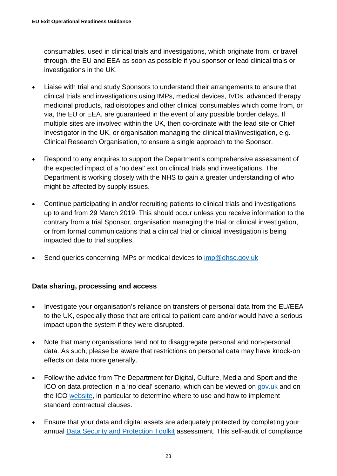consumables, used in clinical trials and investigations, which originate from, or travel through, the EU and EEA as soon as possible if you sponsor or lead clinical trials or investigations in the UK.

- Liaise with trial and study Sponsors to understand their arrangements to ensure that clinical trials and investigations using IMPs, medical devices, IVDs, advanced therapy medicinal products, radioisotopes and other clinical consumables which come from, or via, the EU or EEA, are guaranteed in the event of any possible border delays. If multiple sites are involved within the UK, then co-ordinate with the lead site or Chief Investigator in the UK, or organisation managing the clinical trial/investigation, e.g. Clinical Research Organisation, to ensure a single approach to the Sponsor.
- Respond to any enquires to support the Department's comprehensive assessment of the expected impact of a 'no deal' exit on clinical trials and investigations. The Department is working closely with the NHS to gain a greater understanding of who might be affected by supply issues.
- Continue participating in and/or recruiting patients to clinical trials and investigations up to and from 29 March 2019. This should occur unless you receive information to the contrary from a trial Sponsor, organisation managing the trial or clinical investigation, or from formal communications that a clinical trial or clinical investigation is being impacted due to trial supplies.
- Send queries concerning IMPs or medical devices to [imp@dhsc.gov.uk](mailto:imp@dhsc.gov.uk)

#### **Data sharing, processing and access**

- Investigate your organisation's reliance on transfers of personal data from the EU/EEA to the UK, especially those that are critical to patient care and/or would have a serious impact upon the system if they were disrupted.
- Note that many organisations tend not to disaggregate personal and non-personal data. As such, please be aware that restrictions on personal data may have knock-on effects on data more generally.
- Follow the advice from The Department for Digital, Culture, Media and Sport and the ICO on data protection in a 'no deal' scenario, which can be viewed on [gov.uk](https://www.gov.uk/government/publications/data-protection-eu-exit-guidance/leaving-the-eu-without-a-deal-6-steps-to-take) and on the ICO [website,](https://ico.org.uk/for-organisations/data-protection-and-brexit/data-protection-if-there-s-no-brexit-deal/) in particular to determine where to use and how to implement standard contractual clauses.
- Ensure that your data and digital assets are adequately protected by completing your annual [Data Security and Protection Toolkit](https://digital.nhs.uk/data-and-information/looking-after-information/data-security-and-information-governance/data-security-and-protection-toolkit) assessment. This self-audit of compliance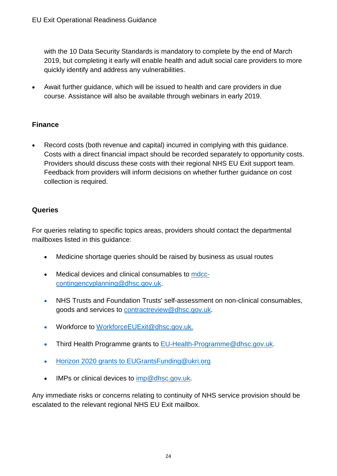with the 10 Data Security Standards is mandatory to complete by the end of March 2019, but completing it early will enable health and adult social care providers to more quickly identify and address any vulnerabilities.

• Await further guidance, which will be issued to health and care providers in due course. Assistance will also be available through webinars in early 2019.

#### **Finance**

• Record costs (both revenue and capital) incurred in complying with this guidance. Costs with a direct financial impact should be recorded separately to opportunity costs. Providers should discuss these costs with their regional NHS EU Exit support team. Feedback from providers will inform decisions on whether further guidance on cost collection is required.

#### **Queries**

For queries relating to specific topics areas, providers should contact the departmental mailboxes listed in this guidance:

- Medicine shortage queries should be raised by business as usual routes
- Medical devices and clinical consumables to [mdcc](mailto:mdcc-contingencyplanning@dhsc.gov.uk)[contingencyplanning@dhsc.gov.uk.](mailto:mdcc-contingencyplanning@dhsc.gov.uk)
- NHS Trusts and Foundation Trusts' self-assessment on non-clinical consumables, goods and services to [contractreview@dhsc.gov.uk.](mailto:contractreview@dhsc.gov.uk)
- Workforce to [WorkforceEUExit@dhsc.gov.uk.](mailto:WorkforceEUExit@dhsc.gov.uk)
- Third Health Programme grants to [EU-Health-Programme@dhsc.gov.uk.](mailto:EU-Health-Programme@dhsc.gov.uk)
- Horizon 2020 grants to [EUGrantsFunding@ukri.org](mailto:EUGrantsFunding@ukri.org)
- IMPs or clinical devices to [imp@dhsc.gov.uk.](mailto:imp@dhsc.gov.uk)

Any immediate risks or concerns relating to continuity of NHS service provision should be escalated to the relevant regional NHS EU Exit mailbox.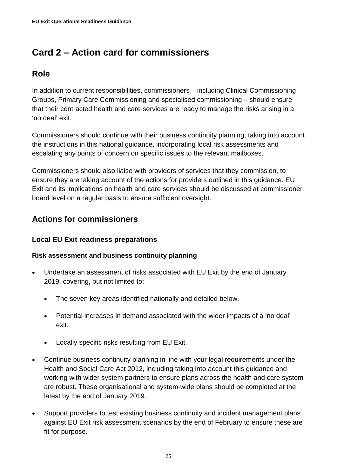# <span id="page-24-0"></span>**Card 2 – Action card for commissioners**

### **Role**

In addition to current responsibilities, commissioners – including Clinical Commissioning Groups, Primary Care Commissioning and specialised commissioning – should ensure that their contracted health and care services are ready to manage the risks arising in a 'no deal' exit.

Commissioners should continue with their business continuity planning, taking into account the instructions in this national guidance, incorporating local risk assessments and escalating any points of concern on specific issues to the relevant mailboxes.

Commissioners should also liaise with providers of services that they commission, to ensure they are taking account of the actions for providers outlined in this guidance. EU Exit and its implications on health and care services should be discussed at commissioner board level on a regular basis to ensure sufficient oversight.

### **Actions for commissioners**

#### **Local EU Exit readiness preparations**

#### **Risk assessment and business continuity planning**

- Undertake an assessment of risks associated with EU Exit by the end of January 2019, covering, but not limited to:
	- The seven key areas identified nationally and detailed below.
	- Potential increases in demand associated with the wider impacts of a 'no deal' exit.
	- Locally specific risks resulting from EU Exit.
- Continue business continuity planning in line with your legal requirements under the Health and Social Care Act 2012, including taking into account this guidance and working with wider system partners to ensure plans across the health and care system are robust. These organisational and system-wide plans should be completed at the latest by the end of January 2019.
- Support providers to test existing business continuity and incident management plans against EU Exit risk assessment scenarios by the end of February to ensure these are fit for purpose.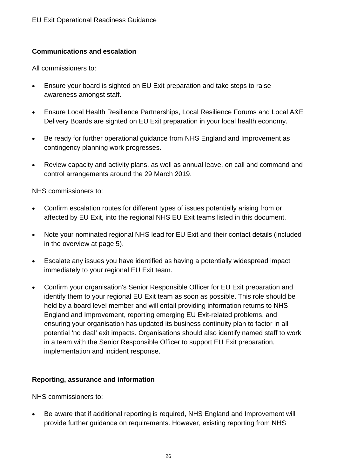#### **Communications and escalation**

All commissioners to:

- Ensure your board is sighted on EU Exit preparation and take steps to raise awareness amongst staff.
- Ensure Local Health Resilience Partnerships, Local Resilience Forums and Local A&E Delivery Boards are sighted on EU Exit preparation in your local health economy.
- Be ready for further operational guidance from NHS England and Improvement as contingency planning work progresses.
- Review capacity and activity plans, as well as annual leave, on call and command and control arrangements around the 29 March 2019.

NHS commissioners to:

- Confirm escalation routes for different types of issues potentially arising from or affected by EU Exit, into the regional NHS EU Exit teams listed in this document.
- Note your nominated regional NHS lead for EU Exit and their contact details (included in the overview at page 5).
- Escalate any issues you have identified as having a potentially widespread impact immediately to your regional EU Exit team.
- Confirm your organisation's Senior Responsible Officer for EU Exit preparation and identify them to your regional EU Exit team as soon as possible. This role should be held by a board level member and will entail providing information returns to NHS England and Improvement, reporting emerging EU Exit-related problems, and ensuring your organisation has updated its business continuity plan to factor in all potential 'no deal' exit impacts. Organisations should also identify named staff to work in a team with the Senior Responsible Officer to support EU Exit preparation, implementation and incident response.

#### **Reporting, assurance and information**

NHS commissioners to:

• Be aware that if additional reporting is required, NHS England and Improvement will provide further guidance on requirements. However, existing reporting from NHS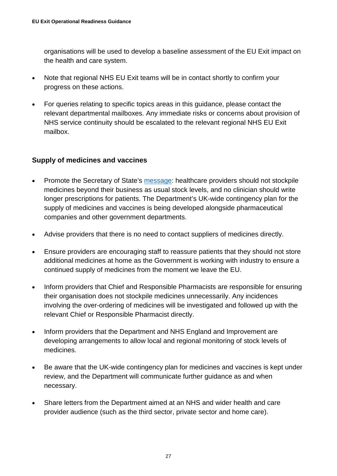organisations will be used to develop a baseline assessment of the EU Exit impact on the health and care system.

- Note that regional NHS EU Exit teams will be in contact shortly to confirm your progress on these actions.
- For queries relating to specific topics areas in this guidance, please contact the relevant departmental mailboxes. Any immediate risks or concerns about provision of NHS service continuity should be escalated to the relevant regional NHS EU Exit mailbox.

#### **Supply of medicines and vaccines**

- Promote the Secretary of State's [message:](https://assets.publishing.service.gov.uk/government/uploads/system/uploads/attachment_data/file/735742/Govt_preparations_for_potential_no_deal_-_letter_to_health_and_care_sector.pdf) healthcare providers should not stockpile medicines beyond their business as usual stock levels, and no clinician should write longer prescriptions for patients. The Department's UK-wide contingency plan for the supply of medicines and vaccines is being developed alongside pharmaceutical companies and other government departments.
- Advise providers that there is no need to contact suppliers of medicines directly.
- Ensure providers are encouraging staff to reassure patients that they should not store additional medicines at home as the Government is working with industry to ensure a continued supply of medicines from the moment we leave the EU.
- Inform providers that Chief and Responsible Pharmacists are responsible for ensuring their organisation does not stockpile medicines unnecessarily. Any incidences involving the over-ordering of medicines will be investigated and followed up with the relevant Chief or Responsible Pharmacist directly.
- Inform providers that the Department and NHS England and Improvement are developing arrangements to allow local and regional monitoring of stock levels of medicines.
- Be aware that the UK-wide contingency plan for medicines and vaccines is kept under review, and the Department will communicate further guidance as and when necessary.
- Share letters from the Department aimed at an NHS and wider health and care provider audience (such as the third sector, private sector and home care).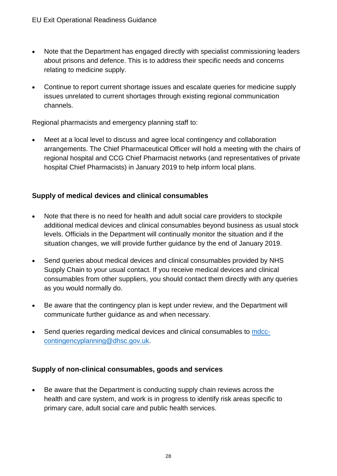- Note that the Department has engaged directly with specialist commissioning leaders about prisons and defence. This is to address their specific needs and concerns relating to medicine supply.
- Continue to report current shortage issues and escalate queries for medicine supply issues unrelated to current shortages through existing regional communication channels.

Regional pharmacists and emergency planning staff to:

• Meet at a local level to discuss and agree local contingency and collaboration arrangements. The Chief Pharmaceutical Officer will hold a meeting with the chairs of regional hospital and CCG Chief Pharmacist networks (and representatives of private hospital Chief Pharmacists) in January 2019 to help inform local plans.

#### **Supply of medical devices and clinical consumables**

- Note that there is no need for health and adult social care providers to stockpile additional medical devices and clinical consumables beyond business as usual stock levels. Officials in the Department will continually monitor the situation and if the situation changes, we will provide further guidance by the end of January 2019.
- Send queries about medical devices and clinical consumables provided by NHS Supply Chain to your usual contact. If you receive medical devices and clinical consumables from other suppliers, you should contact them directly with any queries as you would normally do.
- Be aware that the contingency plan is kept under review, and the Department will communicate further guidance as and when necessary.
- Send queries regarding medical devices and clinical consumables to [mdcc](mailto:mdcc-contingencyplanning@dhsc.gov.uk)[contingencyplanning@dhsc.gov.uk.](mailto:mdcc-contingencyplanning@dhsc.gov.uk)

#### **Supply of non-clinical consumables, goods and services**

• Be aware that the Department is conducting supply chain reviews across the health and care system, and work is in progress to identify risk areas specific to primary care, adult social care and public health services.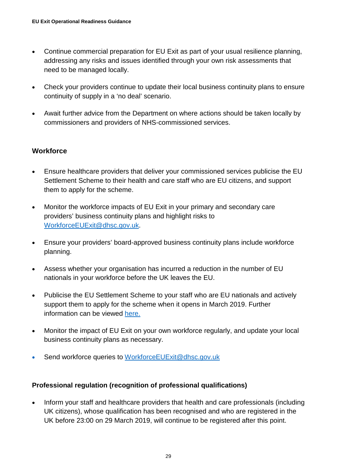- Continue commercial preparation for EU Exit as part of your usual resilience planning, addressing any risks and issues identified through your own risk assessments that need to be managed locally.
- Check your providers continue to update their local business continuity plans to ensure continuity of supply in a 'no deal' scenario.
- Await further advice from the Department on where actions should be taken locally by commissioners and providers of NHS-commissioned services.

#### **Workforce**

- Ensure healthcare providers that deliver your commissioned services publicise the EU Settlement Scheme to their health and care staff who are EU citizens, and support them to apply for the scheme.
- Monitor the workforce impacts of EU Exit in your primary and secondary care providers' business continuity plans and highlight risks to [WorkforceEUExit@dhsc.gov.uk.](mailto:WorkforceEUExit@dhsc.gov.uk)
- Ensure your providers' board-approved business continuity plans include workforce planning.
- Assess whether your organisation has incurred a reduction in the number of EU nationals in your workforce before the UK leaves the EU.
- Publicise the EU Settlement Scheme to your staff who are EU nationals and actively support them to apply for the scheme when it opens in March 2019. Further information can be viewed [here.](https://www.gov.uk/settled-status-eu-citizens-families/applying-for-settled-status)
- Monitor the impact of EU Exit on your own workforce regularly, and update your local business continuity plans as necessary.
- Send workforce queries to [WorkforceEUExit@dhsc.gov.uk](mailto:WorkforceEUExit@dhsc.gov.uk)

#### **Professional regulation (recognition of professional qualifications)**

• Inform your staff and healthcare providers that health and care professionals (including UK citizens), whose qualification has been recognised and who are registered in the UK before 23:00 on 29 March 2019, will continue to be registered after this point.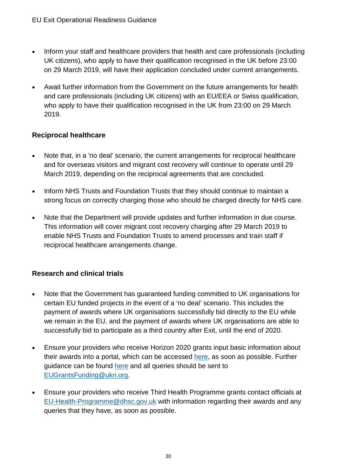- Inform your staff and healthcare providers that health and care professionals (including UK citizens), who apply to have their qualification recognised in the UK before 23:00 on 29 March 2019, will have their application concluded under current arrangements.
- Await further information from the Government on the future arrangements for health and care professionals (including UK citizens) with an EU/EEA or Swiss qualification, who apply to have their qualification recognised in the UK from 23:00 on 29 March 2019.

#### **Reciprocal healthcare**

- Note that, in a 'no deal' scenario, the current arrangements for reciprocal healthcare and for overseas visitors and migrant cost recovery will continue to operate until 29 March 2019, depending on the reciprocal agreements that are concluded.
- Inform NHS Trusts and Foundation Trusts that they should continue to maintain a strong focus on correctly charging those who should be charged directly for NHS care.
- Note that the Department will provide updates and further information in due course. This information will cover migrant cost recovery charging after 29 March 2019 to enable NHS Trusts and Foundation Trusts to amend processes and train staff if reciprocal healthcare arrangements change.

#### **Research and clinical trials**

- Note that the Government has guaranteed funding committed to UK organisations for certain EU funded projects in the event of a 'no deal' scenario. This includes the payment of awards where UK organisations successfully bid directly to the EU while we remain in the EU, and the payment of awards where UK organisations are able to successfully bid to participate as a third country after Exit, until the end of 2020.
- Ensure your providers who receive Horizon 2020 grants input basic information about their awards into a portal, which can be accessed [here,](https://apply-for-innovation-funding.service.gov.uk/eu-grant/overview) as soon as possible. Further guidance can be found [here](https://www.gov.uk/government/publications/horizon-2020-funding-if-theres-no-brexit-deal/horizon-2020-funding-if-theres-no-brexit-deal--2) and all queries should be sent to [EUGrantsFunding@ukri.org.](mailto:EUGrantsFunding@ukri.org)
- Ensure your providers who receive Third Health Programme grants contact officials at [EU-Health-Programme@dhsc.gov.uk](mailto:EU-Health-Programme@dhsc.gov.uk) with information regarding their awards and any queries that they have, as soon as possible.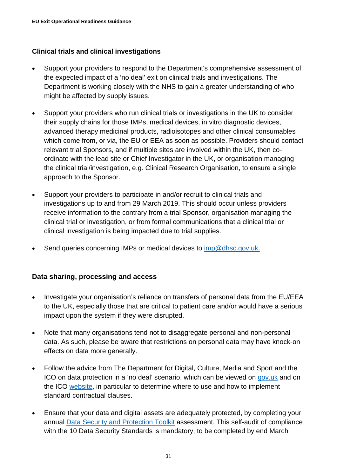#### **Clinical trials and clinical investigations**

- Support your providers to respond to the Department's comprehensive assessment of the expected impact of a 'no deal' exit on clinical trials and investigations. The Department is working closely with the NHS to gain a greater understanding of who might be affected by supply issues.
- Support your providers who run clinical trials or investigations in the UK to consider their supply chains for those IMPs, medical devices, in vitro diagnostic devices, advanced therapy medicinal products, radioisotopes and other clinical consumables which come from, or via, the EU or EEA as soon as possible. Providers should contact relevant trial Sponsors, and if multiple sites are involved within the UK, then coordinate with the lead site or Chief Investigator in the UK, or organisation managing the clinical trial/investigation, e.g. Clinical Research Organisation, to ensure a single approach to the Sponsor.
- Support your providers to participate in and/or recruit to clinical trials and investigations up to and from 29 March 2019. This should occur unless providers receive information to the contrary from a trial Sponsor, organisation managing the clinical trial or investigation, or from formal communications that a clinical trial or clinical investigation is being impacted due to trial supplies.
- Send queries concerning IMPs or medical devices to  $\frac{imp@dhsc.gov.uk}{imp@dhsc.gov.uk}$ .

#### **Data sharing, processing and access**

- Investigate your organisation's reliance on transfers of personal data from the EU/EEA to the UK, especially those that are critical to patient care and/or would have a serious impact upon the system if they were disrupted.
- Note that many organisations tend not to disaggregate personal and non-personal data. As such, please be aware that restrictions on personal data may have knock-on effects on data more generally.
- Follow the advice from The Department for Digital, Culture, Media and Sport and the ICO on data protection in a 'no deal' scenario, which can be viewed on [gov.uk](https://www.gov.uk/government/publications/data-protection-eu-exit-guidance/leaving-the-eu-without-a-deal-6-steps-to-take) and on the ICO [website,](https://ico.org.uk/for-organisations/data-protection-and-brexit/data-protection-if-there-s-no-brexit-deal/) in particular to determine where to use and how to implement standard contractual clauses.
- Ensure that your data and digital assets are adequately protected, by completing your annual [Data Security and Protection Toolkit](https://digital.nhs.uk/data-and-information/looking-after-information/data-security-and-information-governance/data-security-and-protection-toolkit) assessment. This self-audit of compliance with the 10 Data Security Standards is mandatory, to be completed by end March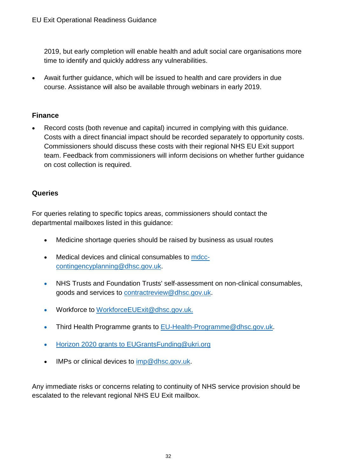2019, but early completion will enable health and adult social care organisations more time to identify and quickly address any vulnerabilities.

• Await further guidance, which will be issued to health and care providers in due course. Assistance will also be available through webinars in early 2019.

#### **Finance**

• Record costs (both revenue and capital) incurred in complying with this guidance. Costs with a direct financial impact should be recorded separately to opportunity costs. Commissioners should discuss these costs with their regional NHS EU Exit support team. Feedback from commissioners will inform decisions on whether further guidance on cost collection is required.

#### **Queries**

For queries relating to specific topics areas, commissioners should contact the departmental mailboxes listed in this guidance:

- Medicine shortage queries should be raised by business as usual routes
- Medical devices and clinical consumables to [mdcc](mailto:mdcc-contingencyplanning@dhsc.gov.uk)[contingencyplanning@dhsc.gov.uk.](mailto:mdcc-contingencyplanning@dhsc.gov.uk)
- NHS Trusts and Foundation Trusts' self-assessment on non-clinical consumables, goods and services to [contractreview@dhsc.gov.uk.](mailto:contractreview@dhsc.gov.uk)
- Workforce to [WorkforceEUExit@dhsc.gov.uk.](mailto:WorkforceEUExit@dhsc.gov.uk)
- Third Health Programme grants to **EU-Health-Programme@dhsc.gov.uk.**
- Horizon 2020 grants to [EUGrantsFunding@ukri.org](mailto:EUGrantsFunding@ukri.org)
- IMPs or clinical devices to [imp@dhsc.gov.uk.](mailto:imp@dhsc.gov.uk)

<span id="page-31-0"></span>Any immediate risks or concerns relating to continuity of NHS service provision should be escalated to the relevant regional NHS EU Exit mailbox.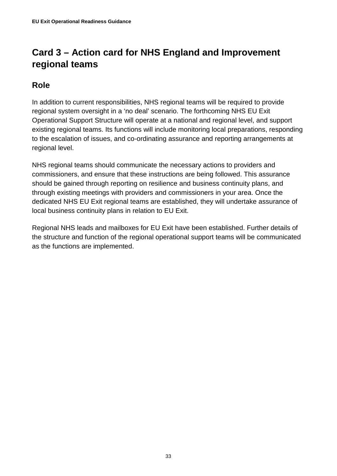## **Card 3 – Action card for NHS England and Improvement regional teams**

### **Role**

In addition to current responsibilities, NHS regional teams will be required to provide regional system oversight in a 'no deal' scenario. The forthcoming NHS EU Exit Operational Support Structure will operate at a national and regional level, and support existing regional teams. Its functions will include monitoring local preparations, responding to the escalation of issues, and co-ordinating assurance and reporting arrangements at regional level.

NHS regional teams should communicate the necessary actions to providers and commissioners, and ensure that these instructions are being followed. This assurance should be gained through reporting on resilience and business continuity plans, and through existing meetings with providers and commissioners in your area. Once the dedicated NHS EU Exit regional teams are established, they will undertake assurance of local business continuity plans in relation to EU Exit.

Regional NHS leads and mailboxes for EU Exit have been established. Further details of the structure and function of the regional operational support teams will be communicated as the functions are implemented.